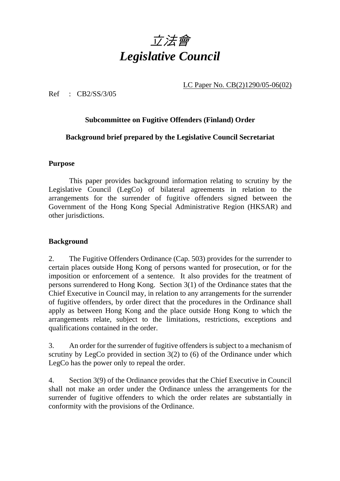

LC Paper No. CB(2)1290/05-06(02)

Ref : CB2/SS/3/05

## **Subcommittee on Fugitive Offenders (Finland) Order**

### **Background brief prepared by the Legislative Council Secretariat**

#### **Purpose**

 This paper provides background information relating to scrutiny by the Legislative Council (LegCo) of bilateral agreements in relation to the arrangements for the surrender of fugitive offenders signed between the Government of the Hong Kong Special Administrative Region (HKSAR) and other jurisdictions.

### **Background**

2. The Fugitive Offenders Ordinance (Cap. 503) provides for the surrender to certain places outside Hong Kong of persons wanted for prosecution, or for the imposition or enforcement of a sentence. It also provides for the treatment of persons surrendered to Hong Kong. Section 3(1) of the Ordinance states that the Chief Executive in Council may, in relation to any arrangements for the surrender of fugitive offenders, by order direct that the procedures in the Ordinance shall apply as between Hong Kong and the place outside Hong Kong to which the arrangements relate, subject to the limitations, restrictions, exceptions and qualifications contained in the order.

3. An order for the surrender of fugitive offenders is subject to a mechanism of scrutiny by LegCo provided in section 3(2) to (6) of the Ordinance under which LegCo has the power only to repeal the order.

4. Section 3(9) of the Ordinance provides that the Chief Executive in Council shall not make an order under the Ordinance unless the arrangements for the surrender of fugitive offenders to which the order relates are substantially in conformity with the provisions of the Ordinance.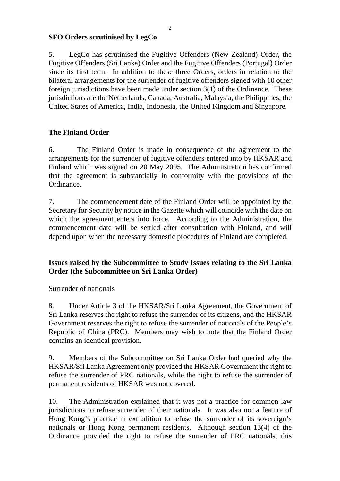### **SFO Orders scrutinised by LegCo**

5. LegCo has scrutinised the Fugitive Offenders (New Zealand) Order, the Fugitive Offenders (Sri Lanka) Order and the Fugitive Offenders (Portugal) Order since its first term. In addition to these three Orders, orders in relation to the bilateral arrangements for the surrender of fugitive offenders signed with 10 other foreign jurisdictions have been made under section 3(1) of the Ordinance. These jurisdictions are the Netherlands, Canada, Australia, Malaysia, the Philippines, the United States of America, India, Indonesia, the United Kingdom and Singapore.

# **The Finland Order**

6. The Finland Order is made in consequence of the agreement to the arrangements for the surrender of fugitive offenders entered into by HKSAR and Finland which was signed on 20 May 2005. The Administration has confirmed that the agreement is substantially in conformity with the provisions of the Ordinance.

7. The commencement date of the Finland Order will be appointed by the Secretary for Security by notice in the Gazette which will coincide with the date on which the agreement enters into force. According to the Administration, the commencement date will be settled after consultation with Finland, and will depend upon when the necessary domestic procedures of Finland are completed.

## **Issues raised by the Subcommittee to Study Issues relating to the Sri Lanka Order (the Subcommittee on Sri Lanka Order)**

### Surrender of nationals

8. Under Article 3 of the HKSAR/Sri Lanka Agreement, the Government of Sri Lanka reserves the right to refuse the surrender of its citizens, and the HKSAR Government reserves the right to refuse the surrender of nationals of the People's Republic of China (PRC). Members may wish to note that the Finland Order contains an identical provision.

9. Members of the Subcommittee on Sri Lanka Order had queried why the HKSAR/Sri Lanka Agreement only provided the HKSAR Government the right to refuse the surrender of PRC nationals, while the right to refuse the surrender of permanent residents of HKSAR was not covered.

10. The Administration explained that it was not a practice for common law jurisdictions to refuse surrender of their nationals. It was also not a feature of Hong Kong's practice in extradition to refuse the surrender of its sovereign's nationals or Hong Kong permanent residents. Although section 13(4) of the Ordinance provided the right to refuse the surrender of PRC nationals, this